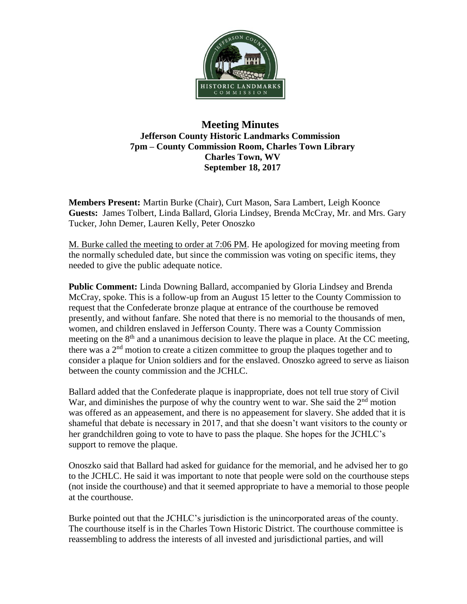

## **Meeting Minutes Jefferson County Historic Landmarks Commission 7pm – County Commission Room, Charles Town Library Charles Town, WV September 18, 2017**

**Members Present:** Martin Burke (Chair), Curt Mason, Sara Lambert, Leigh Koonce **Guests:** James Tolbert, Linda Ballard, Gloria Lindsey, Brenda McCray, Mr. and Mrs. Gary Tucker, John Demer, Lauren Kelly, Peter Onoszko

M. Burke called the meeting to order at 7:06 PM. He apologized for moving meeting from the normally scheduled date, but since the commission was voting on specific items, they needed to give the public adequate notice.

**Public Comment:** Linda Downing Ballard, accompanied by Gloria Lindsey and Brenda McCray, spoke. This is a follow-up from an August 15 letter to the County Commission to request that the Confederate bronze plaque at entrance of the courthouse be removed presently, and without fanfare. She noted that there is no memorial to the thousands of men, women, and children enslaved in Jefferson County. There was a County Commission meeting on the  $8<sup>th</sup>$  and a unanimous decision to leave the plaque in place. At the CC meeting, there was a 2nd motion to create a citizen committee to group the plaques together and to consider a plaque for Union soldiers and for the enslaved. Onoszko agreed to serve as liaison between the county commission and the JCHLC.

Ballard added that the Confederate plaque is inappropriate, does not tell true story of Civil War, and diminishes the purpose of why the country went to war. She said the  $2<sup>nd</sup>$  motion was offered as an appeasement, and there is no appeasement for slavery. She added that it is shameful that debate is necessary in 2017, and that she doesn't want visitors to the county or her grandchildren going to vote to have to pass the plaque. She hopes for the JCHLC's support to remove the plaque.

Onoszko said that Ballard had asked for guidance for the memorial, and he advised her to go to the JCHLC. He said it was important to note that people were sold on the courthouse steps (not inside the courthouse) and that it seemed appropriate to have a memorial to those people at the courthouse.

Burke pointed out that the JCHLC's jurisdiction is the unincorporated areas of the county. The courthouse itself is in the Charles Town Historic District. The courthouse committee is reassembling to address the interests of all invested and jurisdictional parties, and will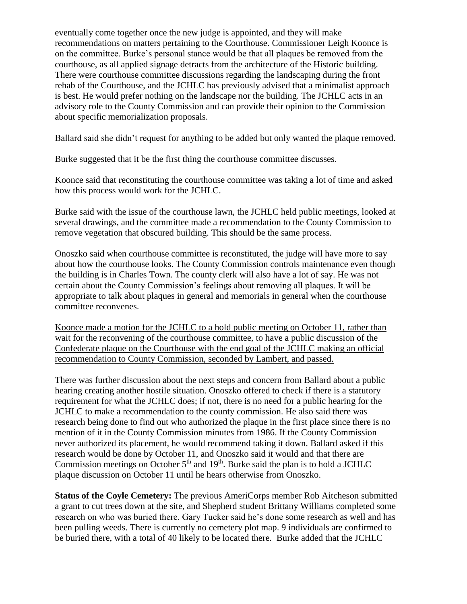eventually come together once the new judge is appointed, and they will make recommendations on matters pertaining to the Courthouse. Commissioner Leigh Koonce is on the committee. Burke's personal stance would be that all plaques be removed from the courthouse, as all applied signage detracts from the architecture of the Historic building. There were courthouse committee discussions regarding the landscaping during the front rehab of the Courthouse, and the JCHLC has previously advised that a minimalist approach is best. He would prefer nothing on the landscape nor the building. The JCHLC acts in an advisory role to the County Commission and can provide their opinion to the Commission about specific memorialization proposals.

Ballard said she didn't request for anything to be added but only wanted the plaque removed.

Burke suggested that it be the first thing the courthouse committee discusses.

Koonce said that reconstituting the courthouse committee was taking a lot of time and asked how this process would work for the JCHLC.

Burke said with the issue of the courthouse lawn, the JCHLC held public meetings, looked at several drawings, and the committee made a recommendation to the County Commission to remove vegetation that obscured building. This should be the same process.

Onoszko said when courthouse committee is reconstituted, the judge will have more to say about how the courthouse looks. The County Commission controls maintenance even though the building is in Charles Town. The county clerk will also have a lot of say. He was not certain about the County Commission's feelings about removing all plaques. It will be appropriate to talk about plaques in general and memorials in general when the courthouse committee reconvenes.

Koonce made a motion for the JCHLC to a hold public meeting on October 11, rather than wait for the reconvening of the courthouse committee, to have a public discussion of the Confederate plaque on the Courthouse with the end goal of the JCHLC making an official recommendation to County Commission, seconded by Lambert, and passed.

There was further discussion about the next steps and concern from Ballard about a public hearing creating another hostile situation. Onoszko offered to check if there is a statutory requirement for what the JCHLC does; if not, there is no need for a public hearing for the JCHLC to make a recommendation to the county commission. He also said there was research being done to find out who authorized the plaque in the first place since there is no mention of it in the County Commission minutes from 1986. If the County Commission never authorized its placement, he would recommend taking it down. Ballard asked if this research would be done by October 11, and Onoszko said it would and that there are Commission meetings on October  $5<sup>th</sup>$  and  $19<sup>th</sup>$ . Burke said the plan is to hold a JCHLC plaque discussion on October 11 until he hears otherwise from Onoszko.

**Status of the Coyle Cemetery:** The previous AmeriCorps member Rob Aitcheson submitted a grant to cut trees down at the site, and Shepherd student Brittany Williams completed some research on who was buried there. Gary Tucker said he's done some research as well and has been pulling weeds. There is currently no cemetery plot map. 9 individuals are confirmed to be buried there, with a total of 40 likely to be located there. Burke added that the JCHLC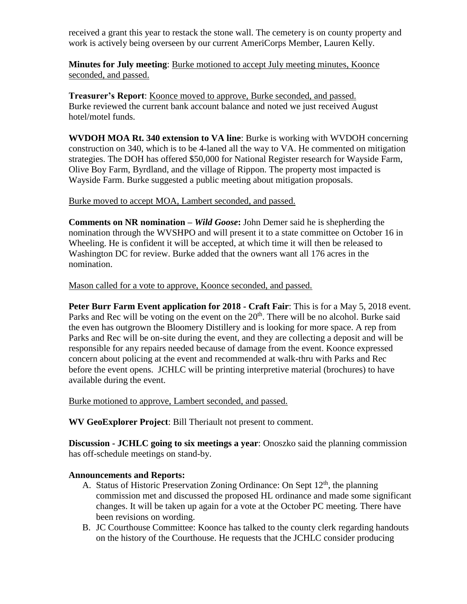received a grant this year to restack the stone wall. The cemetery is on county property and work is actively being overseen by our current AmeriCorps Member, Lauren Kelly.

**Minutes for July meeting**: Burke motioned to accept July meeting minutes, Koonce seconded, and passed.

**Treasurer's Report**: Koonce moved to approve, Burke seconded, and passed. Burke reviewed the current bank account balance and noted we just received August hotel/motel funds.

**WVDOH MOA Rt. 340 extension to VA line**: Burke is working with WVDOH concerning construction on 340, which is to be 4-laned all the way to VA. He commented on mitigation strategies. The DOH has offered \$50,000 for National Register research for Wayside Farm, Olive Boy Farm, Byrdland, and the village of Rippon. The property most impacted is Wayside Farm. Burke suggested a public meeting about mitigation proposals.

## Burke moved to accept MOA, Lambert seconded, and passed.

**Comments on NR nomination –** *Wild Goose***:** John Demer said he is shepherding the nomination through the WVSHPO and will present it to a state committee on October 16 in Wheeling. He is confident it will be accepted, at which time it will then be released to Washington DC for review. Burke added that the owners want all 176 acres in the nomination.

Mason called for a vote to approve, Koonce seconded, and passed.

**Peter Burr Farm Event application for 2018 - Craft Fair**: This is for a May 5, 2018 event. Parks and Rec will be voting on the event on the  $20<sup>th</sup>$ . There will be no alcohol. Burke said the even has outgrown the Bloomery Distillery and is looking for more space. A rep from Parks and Rec will be on-site during the event, and they are collecting a deposit and will be responsible for any repairs needed because of damage from the event. Koonce expressed concern about policing at the event and recommended at walk-thru with Parks and Rec before the event opens. JCHLC will be printing interpretive material (brochures) to have available during the event.

Burke motioned to approve, Lambert seconded, and passed.

**WV GeoExplorer Project**: Bill Theriault not present to comment.

**Discussion - JCHLC going to six meetings a year**: Onoszko said the planning commission has off-schedule meetings on stand-by.

## **Announcements and Reports:**

- A. Status of Historic Preservation Zoning Ordinance: On Sept  $12<sup>th</sup>$ , the planning commission met and discussed the proposed HL ordinance and made some significant changes. It will be taken up again for a vote at the October PC meeting. There have been revisions on wording.
- B. JC Courthouse Committee: Koonce has talked to the county clerk regarding handouts on the history of the Courthouse. He requests that the JCHLC consider producing